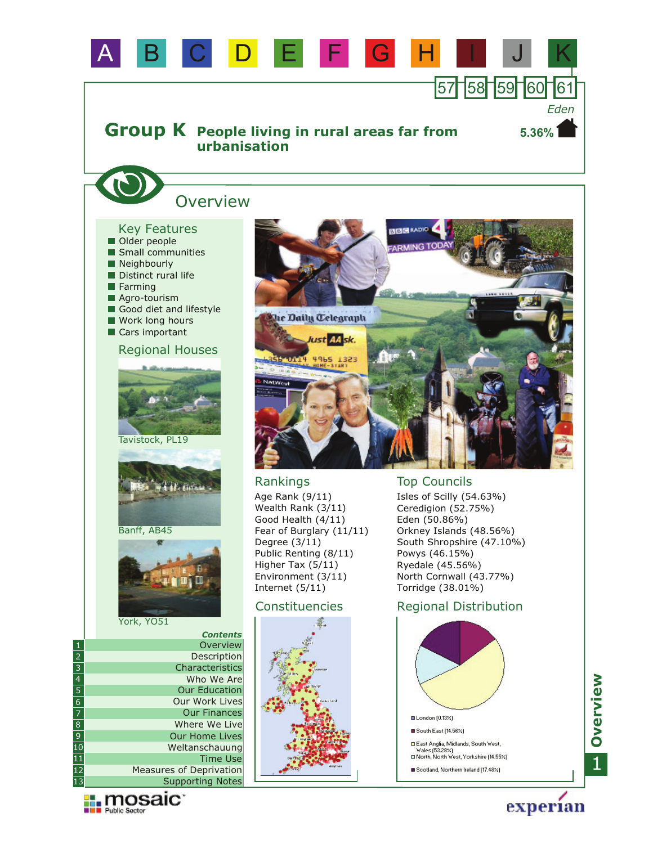

**Explorance Manager** 

experian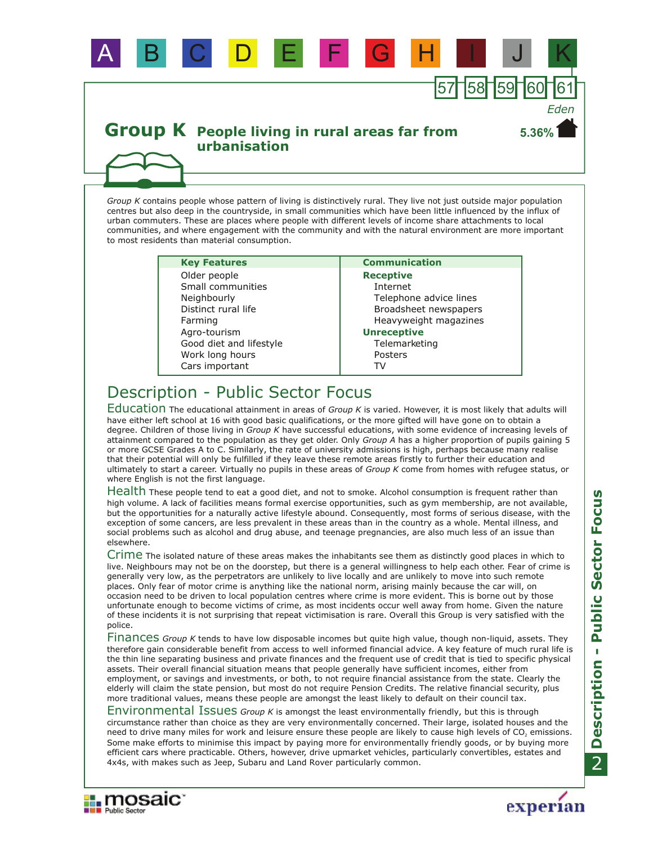

*Group K* contains people whose pattern of living is distinctively rural. They live not just outside major population centres but also deep in the countryside, in small communities which have been little influenced by the influx of urban commuters. These are places where people with different levels of income share attachments to local communities, and where engagement with the community and with the natural environment are more important to most residents than material consumption.

A B C D E F G H I J K

| <b>Key Features</b>     |
|-------------------------|
| Older people            |
| Small communities       |
| Neighbourly             |
| Distinct rural life     |
| Farming                 |
| Agro-tourism            |
| Good diet and lifestyle |
| Work long hours         |
| Cars important          |
|                         |

#### **Communication Receptive** Internet Telephone advice lines Broadsheet newspapers Heavyweight magazines **Unreceptive Telemarketing** Posters

57 58 59 60 61

**5.36%**

*Eden*

# Description - Public Sector Focus

Education The educational attainment in areas of *Group K* is varied. However, it is most likely that adults will have either left school at 16 with good basic qualifications, or the more gifted will have gone on to obtain a degree. Children of those living in *Group K* have successful educations, with some evidence of increasing levels of attainment compared to the population as they get older. Only *Group A* has a higher proportion of pupils gaining 5 or more GCSE Grades A to C. Similarly, the rate of university admissions is high, perhaps because many realise that their potential will only be fulfilled if they leave these remote areas firstly to further their education and ultimately to start a career. Virtually no pupils in these areas of *Group K* come from homes with refugee status, or where English is not the first language.

TV

Health These people tend to eat a good diet, and not to smoke. Alcohol consumption is frequent rather than high volume. A lack of facilities means formal exercise opportunities, such as gym membership, are not available, but the opportunities for a naturally active lifestyle abound. Consequently, most forms of serious disease, with the exception of some cancers, are less prevalent in these areas than in the country as a whole. Mental illness, and social problems such as alcohol and drug abuse, and teenage pregnancies, are also much less of an issue than elsewhere.

Crime The isolated nature of these areas makes the inhabitants see them as distinctly good places in which to live. Neighbours may not be on the doorstep, but there is a general willingness to help each other. Fear of crime is generally very low, as the perpetrators are unlikely to live locally and are unlikely to move into such remote places. Only fear of motor crime is anything like the national norm, arising mainly because the car will, on occasion need to be driven to local population centres where crime is more evident. This is borne out by those unfortunate enough to become victims of crime, as most incidents occur well away from home. Given the nature of these incidents it is not surprising that repeat victimisation is rare. Overall this Group is very satisfied with the police.

Finances Group K tends to have low disposable incomes but quite high value, though non-liquid, assets. They therefore gain considerable benefit from access to well informed financial advice. A key feature of much rural life is the thin line separating business and private finances and the frequent use of credit that is tied to specific physical assets. Their overall financial situation means that people generally have sufficient incomes, either from employment, or savings and investments, or both, to not require financial assistance from the state. Clearly the elderly will claim the state pension, but most do not require Pension Credits. The relative financial security, plus more traditional values, means these people are amongst the least likely to default on their council tax.

Environmental Issues Group K is amongst the least environmentally friendly, but this is through circumstance rather than choice as they are very environmentally concerned. Their large, isolated houses and the need to drive many miles for work and leisure ensure these people are likely to cause high levels of  $CO<sub>2</sub>$  emissions. Some make efforts to minimise this impact by paying more for environmentally friendly goods, or by buying more efficient cars where practicable. Others, however, drive upmarket vehicles, particularly convertibles, estates and 4x4s, with makes such as Jeep, Subaru and Land Rover particularly common.



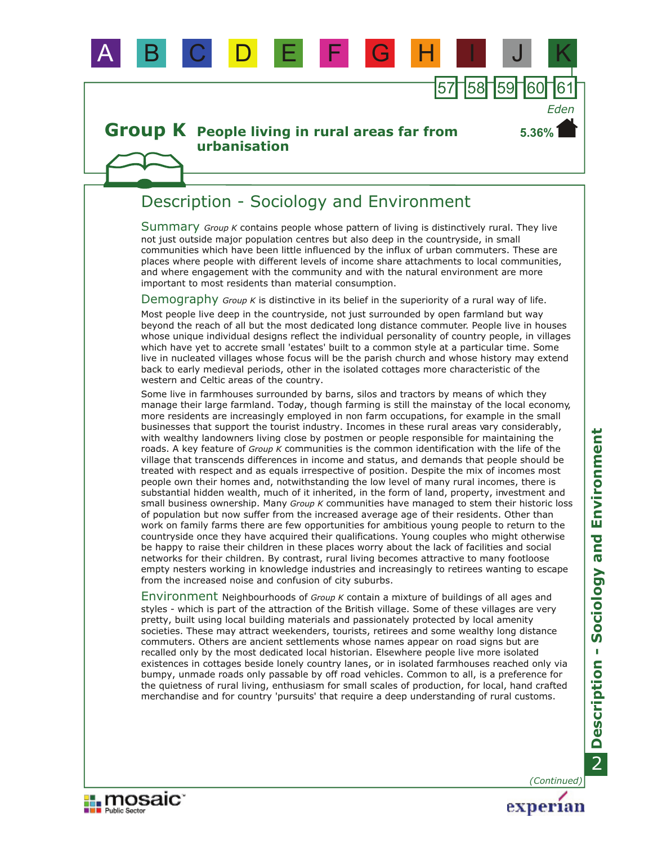

## Description - Sociology and Environment

A B C D E F G H I J K

Summary Group K contains people whose pattern of living is distinctively rural. They live not just outside major population centres but also deep in the countryside, in small communities which have been little influenced by the influx of urban commuters. These are places where people with different levels of income share attachments to local communities, and where engagement with the community and with the natural environment are more important to most residents than material consumption.

57∏58∏59∏60∏6

**5.36%**

*Eden*

Demography Group K is distinctive in its belief in the superiority of a rural way of life.

Most people live deep in the countryside, not just surrounded by open farmland but way beyond the reach of all but the most dedicated long distance commuter. People live in houses whose unique individual designs reflect the individual personality of country people, in villages which have yet to accrete small 'estates' built to a common style at a particular time. Some live in nucleated villages whose focus will be the parish church and whose history may extend back to early medieval periods, other in the isolated cottages more characteristic of the western and Celtic areas of the country.

Some live in farmhouses surrounded by barns, silos and tractors by means of which they manage their large farmland. Today, though farming is still the mainstay of the local economy, more residents are increasingly employed in non farm occupations, for example in the small businesses that support the tourist industry. Incomes in these rural areas vary considerably, with wealthy landowners living close by postmen or people responsible for maintaining the roads. A key feature of *Group K* communities is the common identification with the life of the village that transcends differences in income and status, and demands that people should be treated with respect and as equals irrespective of position. Despite the mix of incomes most people own their homes and, notwithstanding the low level of many rural incomes, there is substantial hidden wealth, much of it inherited, in the form of land, property, investment and small business ownership. Many *Group K* communities have managed to stem their historic loss of population but now suffer from the increased average age of their residents. Other than work on family farms there are few opportunities for ambitious young people to return to the countryside once they have acquired their qualifications. Young couples who might otherwise be happy to raise their children in these places worry about the lack of facilities and social networks for their children. By contrast, rural living becomes attractive to many footloose empty nesters working in knowledge industries and increasingly to retirees wanting to escape from the increased noise and confusion of city suburbs.

Environment Neighbourhoods of *Group K* contain a mixture of buildings of all ages and styles - which is part of the attraction of the British village. Some of these villages are very pretty, built using local building materials and passionately protected by local amenity societies. These may attract weekenders, tourists, retirees and some wealthy long distance commuters. Others are ancient settlements whose names appear on road signs but are recalled only by the most dedicated local historian. Elsewhere people live more isolated existences in cottages beside lonely country lanes, or in isolated farmhouses reached only via bumpy, unmade roads only passable by off road vehicles. Common to all, is a preference for the quietness of rural living, enthusiasm for small scales of production, for local, hand crafted merchandise and for country 'pursuits' that require a deep understanding of rural customs.

*(Continued)*

experian